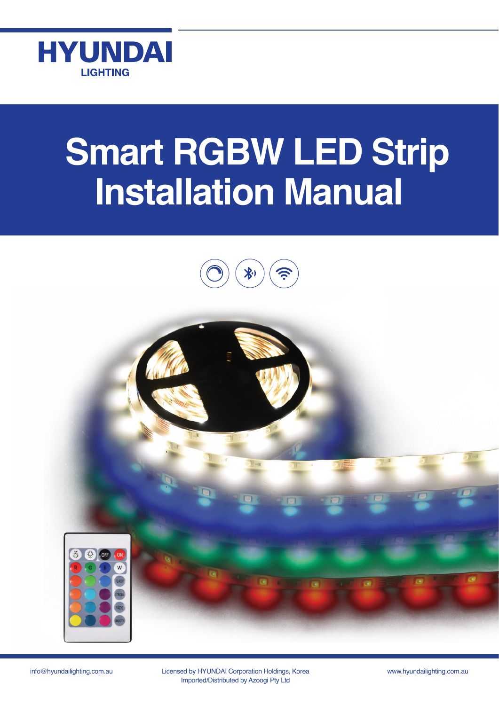

# **Smart RGBW LED Strip Installation Manual**





info@hyundailighting.com.au Licensed by HYUNDAI Corporation Holdings, Korea www.hyundailighting.com.au Imported/Distributed by Azoogi Pty Ltd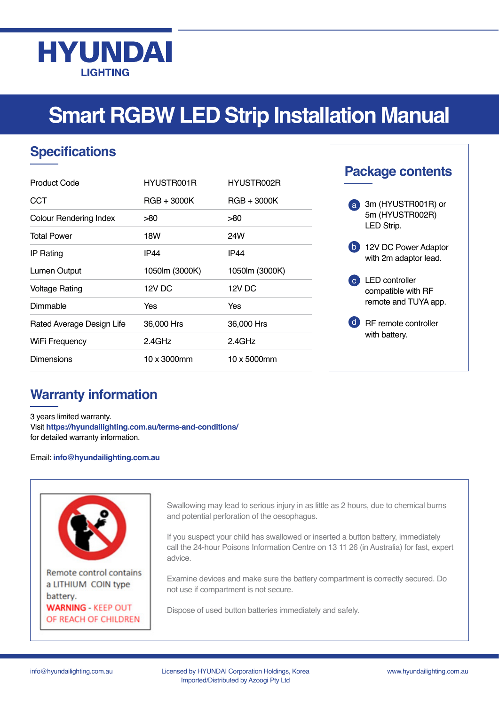

## **Smart RGBW LED Strip Installation Manual**

## **Specifications**

| Product Code                  | HYUSTR001R     | HYUSTR002R     |
|-------------------------------|----------------|----------------|
| <b>CCT</b>                    | RGB + 3000K    | $RGB + 3000K$  |
| <b>Colour Rendering Index</b> | >80            | >80            |
| <b>Total Power</b>            | 18W            | 24W            |
| <b>IP Rating</b>              | <b>IP44</b>    | <b>IP44</b>    |
| Lumen Output                  | 1050lm (3000K) | 1050lm (3000K) |
| Voltage Rating                | 12V DC         | 12V DC         |
| Dimmable                      | Yes            | Yes            |
| Rated Average Design Life     | 36,000 Hrs     | 36,000 Hrs     |
| WiFi Frequency                | $2.4$ GHz      | $2.4$ GHz      |
| Dimensions                    | 10 x 3000mm    | 10 x 5000mm    |

### **Package contents**



### **Warranty information**

3 years limited warranty. Visit **https://hyundailighting.com.au/terms-and-conditions/** for detailed warranty information.

#### Email: **info@hyundailighting.com.au**



Remote control contains a LITHIUM COIN type battery. **WARNING - KEEP OUT** OF REACH OF CHILDREN

Swallowing may lead to serious injury in as little as 2 hours, due to chemical burns and potential perforation of the oesophagus.

If you suspect your child has swallowed or inserted a button battery, immediately call the 24-hour Poisons Information Centre on 13 11 26 (in Australia) for fast, expert advice.

Examine devices and make sure the battery compartment is correctly secured. Do not use if compartment is not secure.

Dispose of used button batteries immediately and safely.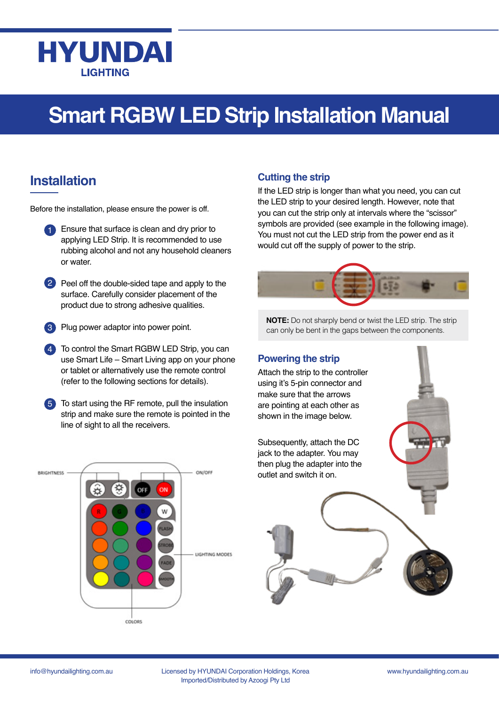## **HYUNDAI LIGHTING**

## **Smart RGBW LED Strip Installation Manual**

### **Installation**

Before the installation, please ensure the power is off.

- 1 Ensure that surface is clean and dry prior to applying LED Strip. It is recommended to use rubbing alcohol and not any household cleaners or water.
- 2 Peel off the double-sided tape and apply to the surface. Carefully consider placement of the product due to strong adhesive qualities.
- Plug power adaptor into power point. 3
- To control the Smart RGBW LED Strip, you can 4 use Smart Life – Smart Living app on your phone or tablet or alternatively use the remote control (refer to the following sections for details).
- To start using the RF remote, pull the insulation strip and make sure the remote is pointed in the line of sight to all the receivers. 5



### **Cutting the strip**

If the LED strip is longer than what you need, you can cut the LED strip to your desired length. However, note that you can cut the strip only at intervals where the "scissor" symbols are provided (see example in the following image). You must not cut the LED strip from the power end as it would cut off the supply of power to the strip.



**NOTE:** Do not sharply bend or twist the LED strip. The strip can only be bent in the gaps between the components.

### **Powering the strip**

Attach the strip to the controller using it's 5-pin connector and make sure that the arrows are pointing at each other as shown in the image below.

Subsequently, attach the DC jack to the adapter. You may then plug the adapter into the outlet and switch it on.

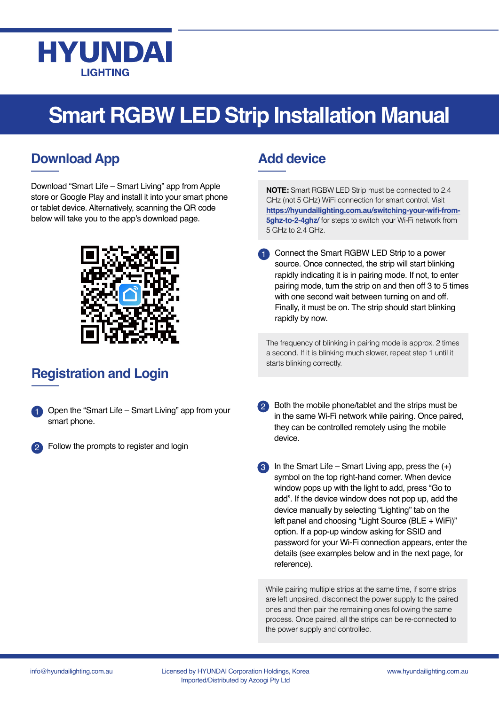

## **Smart RGBW LED Strip Installation Manual**

### **Download App**

Download "Smart Life – Smart Living" app from Apple store or Google Play and install it into your smart phone or tablet device. Alternatively, scanning the QR code below will take you to the app's download page.



## **Registration and Login**

- Open the "Smart Life Smart Living" app from your smart phone. 1
- Follow the prompts to register and login 2

### **Add device**

**NOTE:** Smart RGBW LED Strip must be connected to 2.4 GHz (not 5 GHz) WiFi connection for smart control. Visit **[https://hyundailighting.com.au/switching-your-wifi-from-](https://hyundailighting.com.au/switching-your-wifi-from-5ghz-to-2-4ghz/)[5ghz-to-2-4ghz/](https://hyundailighting.com.au/switching-your-wifi-from-5ghz-to-2-4ghz/)** for steps to switch your Wi-Fi network from 5 GHz to 2.4 GHz.

Connect the Smart RGBW LED Strip to a power source. Once connected, the strip will start blinking rapidly indicating it is in pairing mode. If not, to enter pairing mode, turn the strip on and then off 3 to 5 times with one second wait between turning on and off. Finally, it must be on. The strip should start blinking rapidly by now. 1

The frequency of blinking in pairing mode is approx. 2 times a second. If it is blinking much slower, repeat step 1 until it starts blinking correctly.

- 2 Both the mobile phone/tablet and the strips must be in the same Wi-Fi network while pairing. Once paired, they can be controlled remotely using the mobile device.
- $3$  In the Smart Life Smart Living app, press the  $(+)$ symbol on the top right-hand corner. When device window pops up with the light to add, press "Go to add". If the device window does not pop up, add the device manually by selecting "Lighting" tab on the left panel and choosing "Light Source (BLE + WiFi)" option. If a pop-up window asking for SSID and password for your Wi-Fi connection appears, enter the details (see examples below and in the next page, for reference).

While pairing multiple strips at the same time, if some strips are left unpaired, disconnect the power supply to the paired ones and then pair the remaining ones following the same process. Once paired, all the strips can be re-connected to the power supply and controlled.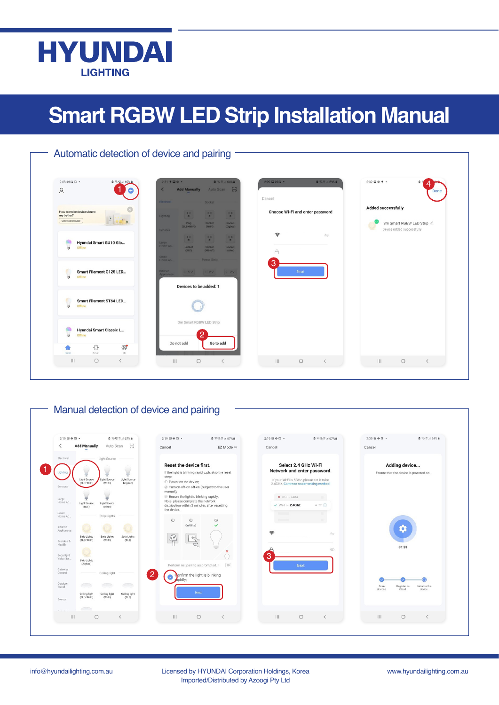

## **Smart RGBW LED Strip Installation Manual**

| 2:08 04 四 6 ·<br>△ 零 亿 1 69%<br>$\alpha$                                                  | 0.57164%<br>$2:31$ $9$ $\Box$ $0$ $\rightarrow$<br>Add Manually Auto Scan [-]                                                                                                                                                                          | 2:09 国间面。<br>$0.331 \times 6950$                            | 2:32 国参专 •<br>$\mathbf{a}$<br>Done                                                |
|-------------------------------------------------------------------------------------------|--------------------------------------------------------------------------------------------------------------------------------------------------------------------------------------------------------------------------------------------------------|-------------------------------------------------------------|-----------------------------------------------------------------------------------|
| How to make devices know<br>me better?<br>$\mathcal{W}_{\mathcal{A}}$<br>View scene guide | <b>Electrical</b><br>Socket<br>$\mathcal{V}^{\mathcal{E}}_{\mathbf{a}}$<br>$\mathbf{E}$<br>$\mathcal{L}$<br><b>Lighting</b><br>Plug.<br>Socket<br>Socket<br>(BLE+WiFi)<br>(MHF)<br>(Zigbee)                                                            | Cancel<br>Choose Wi-Fi and enter password                   | <b>Added successfully</b><br>3m Smart RGBW LED Strip<br>Device added successfully |
| Hyundai Smart GU10 Glo<br>$\overline{u}$<br>Offline                                       | Sensors<br>$\mathcal{V}^{\mathcal{X}}_{\mathbf{a}}$<br>$\mathcal{L}^{\mathcal{I}}$<br>$\mathcal{I}_{\mathbf{a}}^{\mathbf{a}}$<br>Large<br>Home Ap.<br>Socket<br>Socket<br>Sacket<br>$(NB-IOT)$<br>(BLP)<br>(other)<br>Small:<br>Power Strip<br>Home Ap | $\widehat{\tau}$<br>$\frac{A_{\rm{exp}}}{A}$<br>$\triangle$ |                                                                                   |
| $\overline{a}$<br>Smart Filament G125 LED<br>Offline                                      | Kitchen<br>$-22$ $-22$<br>2, 991<br>Appliances<br>Devices to be added: 1                                                                                                                                                                               | 3<br><b>Next</b>                                            |                                                                                   |
| Smart Filament ST64 LED<br>$\overline{u}$<br>Offline                                      |                                                                                                                                                                                                                                                        |                                                             |                                                                                   |
| <b>Hyundai Smart Classic L</b><br>U<br>Offline                                            | 3m Smart RGBW LED Strip<br>Do not add<br>Go to add                                                                                                                                                                                                     |                                                             |                                                                                   |
| Ö.<br>$\circledcirc$<br>喬<br>Smart<br>Mo<br>Home                                          |                                                                                                                                                                                                                                                        |                                                             |                                                                                   |

### Manual detection of device and pairing

| 2:19 国幸国 *                                                     |                                                                                                                                                                                 |                      | 自 % 烟 照 3 67% 自                                                                                                                                                                                                                                                                                                                    | 2:10 国参四 ·                |                                     | ◎ 雪塔 些国 67% m                                                                                                                                                                                                                                             | 2:19 国参四 ·                  |         | <b>Φ = Φ Η</b> Η 4 67% <b>π</b>                        | 2:30 国参四 ·       |                       | ■ 多节. 64% m               |
|----------------------------------------------------------------|---------------------------------------------------------------------------------------------------------------------------------------------------------------------------------|----------------------|------------------------------------------------------------------------------------------------------------------------------------------------------------------------------------------------------------------------------------------------------------------------------------------------------------------------------------|---------------------------|-------------------------------------|-----------------------------------------------------------------------------------------------------------------------------------------------------------------------------------------------------------------------------------------------------------|-----------------------------|---------|--------------------------------------------------------|------------------|-----------------------|---------------------------|
| ≦                                                              | <b>Add Manually</b>                                                                                                                                                             | Auto Scan            | 8                                                                                                                                                                                                                                                                                                                                  | Cancel                    |                                     | EZ Mode $\Rightarrow$                                                                                                                                                                                                                                     | Cancel                      |         |                                                        | Cancel           |                       |                           |
| Electrical<br>Lighting<br>Sensors<br>Large<br>Home Ap<br>Small | Light Source<br>Ų<br>Ψ<br>₹<br>Light Source<br>Light Source<br>Light Source<br>$(BLE+W)$ -Fi)<br>(NF)<br>(Zigbee)<br>₹<br>₹<br>Light Source<br>Light Source<br>(BLE)<br>(other) |                      | Reset the device first.<br>If the light is blinking rapidly, pls skip the reset<br>step:<br>(i) Power on the device;<br>2 Turn on off on off on (Subject to the user<br>manual);<br>(3) Ensure the light is blinking rapidly;<br>Note: please complete the network<br>districution within 3 minutes after resetting<br>the device. |                           |                                     | Select 2.4 GHz Wi-Fi<br>Network and enter password.<br>If your Wi-Fi is 5GHz, please set it to be<br>2.4GHz. Common router setting method<br>$\times$ Wi-Fi - 5Ghz<br>$\mathbf{A} \ \overline{\nabla} \ \left(\mathbf{B}\right)$<br>$\vee$ Wi-Fi - 2.4Ghz |                             |         | Adding device<br>Ensure that the device is powered on. |                  |                       |                           |
| Home Ap_<br>Kitchen                                            |                                                                                                                                                                                 | Strip Lights         |                                                                                                                                                                                                                                                                                                                                    | $\odot$                   | $\circledcirc$<br>$On/Off \times 3$ | $\circledcirc$<br>$\checkmark$                                                                                                                                                                                                                            | $\sim$<br><b>STATISTICS</b> |         |                                                        |                  |                       |                           |
| Appliances<br>Exercise &<br>Health<br>Security &               | Strip Lights<br>(BLE+Wi-Fi)                                                                                                                                                     | Strip Lights<br>(NF) | Strip Lights<br>(BLE)                                                                                                                                                                                                                                                                                                              |                           |                                     | ×                                                                                                                                                                                                                                                         | $\widehat{\mathbb{F}}$<br>3 |         | $\Rightarrow$<br>⊙                                     |                  | $\bullet$<br>01:33    |                           |
| Video Sur.<br>Gateway                                          | Strip Lights<br>(Zigbee)                                                                                                                                                        |                      |                                                                                                                                                                                                                                                                                                                                    |                           | Perform net pairing as prompted. >  | 一                                                                                                                                                                                                                                                         |                             | Next    |                                                        |                  |                       |                           |
| Control                                                        |                                                                                                                                                                                 | Ceiling light        |                                                                                                                                                                                                                                                                                                                                    | $\overline{2}$<br>poidly: | Confirm the light is blinking       |                                                                                                                                                                                                                                                           |                             |         |                                                        |                  |                       |                           |
| Outdoor<br>Travel                                              | Ceiling light                                                                                                                                                                   | Ceiling light        | æ.<br>Ceiling light                                                                                                                                                                                                                                                                                                                |                           | Next                                |                                                                                                                                                                                                                                                           |                             |         |                                                        | Scan<br>devices. | Register on<br>Cloud. | Initialize the<br>device. |
| Energy                                                         | (BLE+Wi-Fi)                                                                                                                                                                     | $(YF-F)$             | (BLE)                                                                                                                                                                                                                                                                                                                              |                           |                                     |                                                                                                                                                                                                                                                           |                             |         |                                                        |                  |                       |                           |
| $P = 1$                                                        | and a                                                                                                                                                                           |                      |                                                                                                                                                                                                                                                                                                                                    |                           |                                     |                                                                                                                                                                                                                                                           |                             |         |                                                        |                  |                       |                           |
|                                                                | $\circ$                                                                                                                                                                         |                      | $\overline{\left\langle \right\rangle }$                                                                                                                                                                                                                                                                                           | $\mathbf{III}$            | $\circ$                             | $\langle$                                                                                                                                                                                                                                                 |                             | $\circ$ | $\langle$                                              | $\mathbf{III}$   | $\bigcirc$            | $\langle$                 |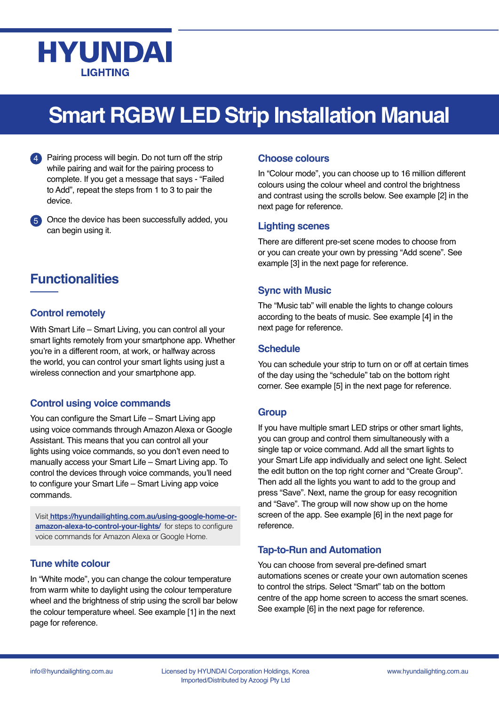## **HYUNDAI LIGHTING**

## **Smart RGBW LED Strip Installation Manual**

Pairing process will begin. Do not turn off the strip while pairing and wait for the pairing process to complete. If you get a message that says - "Failed to Add", repeat the steps from 1 to 3 to pair the device. 4

Once the device has been successfully added, you 5 can begin using it.

### **Functionalities**

### **Control remotely**

With Smart Life – Smart Living, you can control all your smart lights remotely from your smartphone app. Whether you're in a different room, at work, or halfway across the world, you can control your smart lights using just a wireless connection and your smartphone app.

### **Control using voice commands**

You can configure the Smart Life – Smart Living app using voice commands through Amazon Alexa or Google Assistant. This means that you can control all your lights using voice commands, so you don't even need to manually access your Smart Life – Smart Living app. To control the devices through voice commands, you'll need to configure your Smart Life – Smart Living app voice commands.

Visit **[https://hyundailighting.com.au/using-google-home-or]( https://hyundailighting.com.au/using-google-home-or-amazon-alexa-to-control-your-lights/)[amazon-alexa-to-control-your-lights/]( https://hyundailighting.com.au/using-google-home-or-amazon-alexa-to-control-your-lights/)** for steps to configure voice commands for Amazon Alexa or Google Home.

#### **Tune white colour**

In "White mode", you can change the colour temperature from warm white to daylight using the colour temperature wheel and the brightness of strip using the scroll bar below the colour temperature wheel. See example [1] in the next page for reference.

### **Choose colours**

In "Colour mode", you can choose up to 16 million different colours using the colour wheel and control the brightness and contrast using the scrolls below. See example [2] in the next page for reference.

#### **Lighting scenes**

There are different pre-set scene modes to choose from or you can create your own by pressing "Add scene". See example [3] in the next page for reference.

### **Sync with Music**

The "Music tab" will enable the lights to change colours according to the beats of music. See example [4] in the next page for reference.

### **Schedule**

You can schedule your strip to turn on or off at certain times of the day using the "schedule" tab on the bottom right corner. See example [5] in the next page for reference.

### **Group**

If you have multiple smart LED strips or other smart lights, you can group and control them simultaneously with a single tap or voice command. Add all the smart lights to your Smart Life app individually and select one light. Select the edit button on the top right corner and "Create Group". Then add all the lights you want to add to the group and press "Save". Next, name the group for easy recognition and "Save". The group will now show up on the home screen of the app. See example [6] in the next page for reference.

### **Tap-to-Run and Automation**

You can choose from several pre-defined smart automations scenes or create your own automation scenes to control the strips. Select "Smart" tab on the bottom centre of the app home screen to access the smart scenes. See example [6] in the next page for reference.